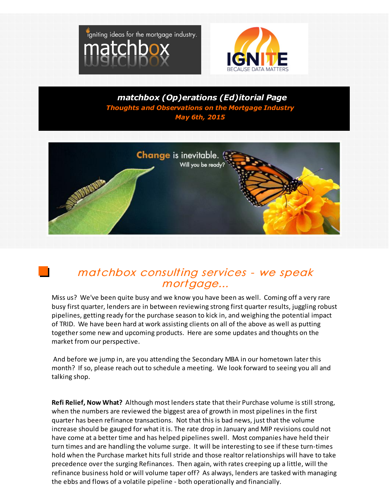



*matchbox (Op)erations (Ed)itorial Page Thoughts and Observations on the Mortgage Industry May 6th, 2015*



## matchbox consulting services - we speak mortgage...

Miss us? We've been quite busy and we know you have been as well. Coming off a very rare busy first quarter, lenders are in between reviewing strong first quarter results, juggling robust pipelines, getting ready for the purchase season to kick in, and weighing the potential impact of TRID. We have been hard at work assisting clients on all of the above as well as putting together some new and upcoming products. Here are some updates and thoughts on the market from our perspective.

And before we jump in, are you attending the Secondary MBA in our hometown later this month? If so, please reach out to schedule a meeting. We look forward to seeing you all and talking shop.

**Refi Relief, Now What?** Although most lenders state that their Purchase volume is still strong, when the numbers are reviewed the biggest area of growth in most pipelines in the first quarter has been refinance transactions. Not that this is bad news, just that the volume increase should be gauged for what it is. The rate drop in January and MIP revisions could not have come at a better time and has helped pipelines swell. Most companies have held their turn times and are handling the volume surge. It will be interesting to see if these turn-times hold when the Purchase market hits full stride and those realtor relationships will have to take precedence over the surging Refinances. Then again, with rates creeping up a little, will the refinance business hold or will volume taper off? As always, lenders are tasked with managing the ebbs and flows of a volatile pipeline - both operationally and financially.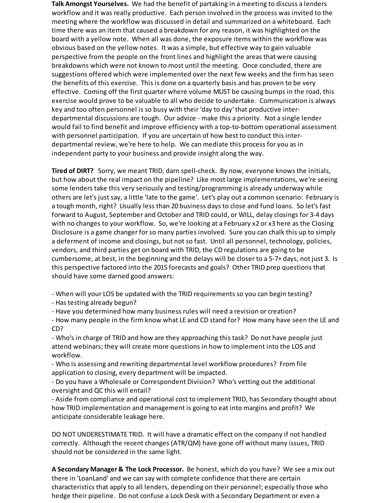**Talk Amongst Yourselves.** We had the benefit of partaking in a meeting to discuss a lenders workflow and it was really productive. Each person involved in the process was invited to the meeting where the workflow was discussed in detail and summarized on a whiteboard. Each time there was an item that caused a breakdown for any reason, it was highlighted on the board with a yellow note. When all was done, the exposure items within the workflow was obvious based on the yellow notes. It was a simple, but effective way to gain valuable perspective from the people on the front lines and highlight the areas that were causing breakdowns which were not known to most until the meeting. Once concluded, there are suggestions offered which were implemented over the next few weeks and the firm has seen the benefits of this exercise. This is done on a quarterly basis and has proven to be very effective. Coming off the first quarter where volume MUST be causing bumps in the road, this exercise would prove to be valuable to all who decide to undertake. Communication is always key and too often personnel is so busy with their 'day to day' that productive interdepartmental discussions are tough. Our advice - make this a priority. Not a single lender would fail to find benefit and improve efficiency with a top-to-bottom operational assessment with personnel participation. If you are uncertain of how best to conduct this interdepartmental review, we're here to help. We can mediate this process for you as in independent party to your business and provide insight along the way.

**Tired of DIRT?** Sorry, we meant TRID, darn spell-check. By now, everyone knows the initials, but how about the real impact on the pipeline? Like most large implementations, we're seeing some lenders take this very seriously and testing/programming is already underway while others are let's just say, a little 'late to the game'. Let's play out a common scenario: February is a tough month, right? Usually less than 20 business days to close and fund loans. So let's fast forward to August, September and October and TRID could, or WILL, delay closings for 3-4 days with no changes to your workflow. So, we're looking at a February x2 or x3 here as the Closing Disclosure is a game changer forso many parties involved. Sure you can chalk this up to simply a deferment of income and closings, but not so fast. Until all personnel, technology, policies, vendors, and third parties get on board with TRID, the CD regulations are going to be cumbersome, at best, in the beginning and the delays will be closer to a 5-7+ days, not just 3. Is this perspective factored into the 2015 forecasts and goals? Other TRID prep questions that should have some darned good answers:

- When will your LOS be updated with the TRID requirements so you can begin testing?

- Has testing already begun?

- Have you determined how many business rules will need a revision or creation?

- How many people in the firm know what LE and CD stand for? How many have seen the LE and CD?

- Who's in charge of TRID and how are they approaching this task? Do not have people just attend webinars; they will create more questions in how to implement into the LOS and workflow.

- Who is assessing and rewriting departmental level workflow procedures? From file application to closing, every department will be impacted.

- Do you have a Wholesale or Correspondent Division? Who's vetting out the additional oversight and QC this will entail?

- Aside from compliance and operational cost to implement TRID, has Secondary thought about how TRID implementation and management is going to eat into margins and profit? We anticipate considerable leakage here.

DO NOT UNDERESTIMATE TRID. It will have a dramatic effect on the company if not handled correctly. Although the recent changes (ATR/QM) have gone off without many issues, TRID should not be considered in the same light.

**A Secondary Manager & The Lock Processor.** Be honest, which do you have? We see a mix out there in 'LoanLand' and we can say with complete confidence that there are certain characteristics that apply to all lenders, depending on their personnel; especially those who hedge their pipeline. Do not confuse a Lock Desk with a Secondary Department or even a